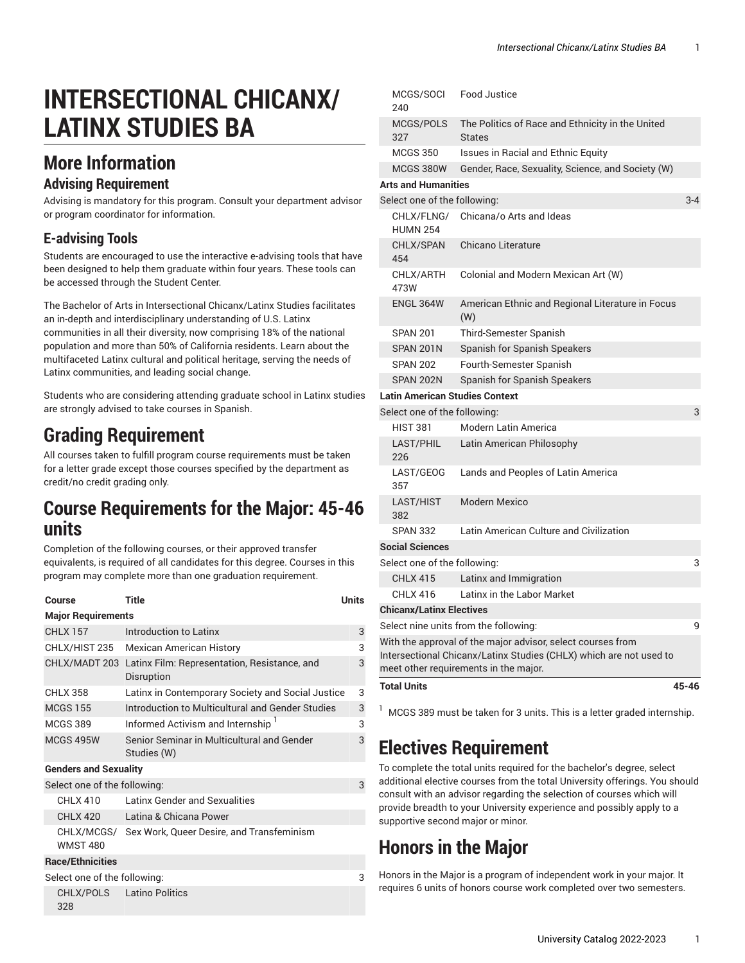# **INTERSECTIONAL CHICANX/ LATINX STUDIES BA**

### **More Information**

#### **Advising Requirement**

Advising is mandatory for this program. Consult your department advisor or program coordinator for information.

#### **E-advising Tools**

Students are encouraged to use the interactive e-advising tools that have been designed to help them graduate within four years. These tools can be accessed through the Student Center.

The Bachelor of Arts in Intersectional Chicanx/Latinx Studies facilitates an in-depth and interdisciplinary understanding of U.S. Latinx communities in all their diversity, now comprising 18% of the national population and more than 50% of California residents. Learn about the multifaceted Latinx cultural and political heritage, serving the needs of Latinx communities, and leading social change.

Students who are considering attending graduate school in Latinx studies are strongly advised to take courses in Spanish.

#### **Grading Requirement**

All courses taken to fulfill program course requirements must be taken for a letter grade except those courses specified by the department as credit/no credit grading only.

#### **Course Requirements for the Major: 45-46 units**

Completion of the following courses, or their approved transfer equivalents, is required of all candidates for this degree. Courses in this program may complete more than one graduation requirement.

| Course                            | Title                                                                    | <b>Units</b> |  |  |
|-----------------------------------|--------------------------------------------------------------------------|--------------|--|--|
| <b>Major Requirements</b>         |                                                                          |              |  |  |
| <b>CHLX 157</b>                   | Introduction to Latinx                                                   | 3            |  |  |
| CHLX/HIST 235                     | <b>Mexican American History</b>                                          | 3            |  |  |
|                                   | CHLX/MADT 203 Latinx Film: Representation, Resistance, and<br>Disruption | 3            |  |  |
| <b>CHLX 358</b>                   | Latinx in Contemporary Society and Social Justice                        | 3            |  |  |
| <b>MCGS 155</b>                   | Introduction to Multicultural and Gender Studies                         | 3            |  |  |
| <b>MCGS 389</b>                   | Informed Activism and Internship                                         | 3            |  |  |
| MCGS 495W                         | Senior Seminar in Multicultural and Gender<br>Studies (W)                | 3            |  |  |
| <b>Genders and Sexuality</b>      |                                                                          |              |  |  |
| Select one of the following:<br>3 |                                                                          |              |  |  |
| <b>CHLX 410</b>                   | Latinx Gender and Sexualities                                            |              |  |  |
| <b>CHLX 420</b>                   | Latina & Chicana Power                                                   |              |  |  |
| <b>WMST 480</b>                   | CHLX/MCGS/ Sex Work, Queer Desire, and Transfeminism                     |              |  |  |
| <b>Race/Ethnicities</b>           |                                                                          |              |  |  |
| Select one of the following:      |                                                                          | 3            |  |  |
| CHLX/POLS<br>328                  | <b>Latino Politics</b>                                                   |              |  |  |

|                                       | meet other requirements in the major.                              |         |
|---------------------------------------|--------------------------------------------------------------------|---------|
|                                       | Intersectional Chicanx/Latinx Studies (CHLX) which are not used to |         |
|                                       | With the approval of the major advisor, select courses from        |         |
|                                       | Select nine units from the following:                              | 9       |
| <b>Chicanx/Latinx Electives</b>       |                                                                    |         |
| <b>CHLX 416</b>                       | Latinx in the Labor Market                                         |         |
| <b>CHLX 415</b>                       | Latinx and Immigration                                             |         |
| Select one of the following:          |                                                                    | 3       |
| <b>Social Sciences</b>                |                                                                    |         |
| 382<br><b>SPAN 332</b>                | Latin American Culture and Civilization                            |         |
| 357<br>LAST/HIST                      | Modern Mexico                                                      |         |
| LAST/GEOG                             | Lands and Peoples of Latin America                                 |         |
| LAST/PHIL<br>226                      | Latin American Philosophy                                          |         |
| <b>HIST 381</b>                       | Modern Latin America                                               |         |
| Select one of the following:          |                                                                    | 3       |
| <b>Latin American Studies Context</b> |                                                                    |         |
| SPAN 202N                             | Spanish for Spanish Speakers                                       |         |
| <b>SPAN 202</b>                       | Fourth-Semester Spanish                                            |         |
| SPAN 201N                             | Spanish for Spanish Speakers                                       |         |
| <b>SPAN 201</b>                       | (W)<br>Third-Semester Spanish                                      |         |
| 473W<br><b>ENGL 364W</b>              | American Ethnic and Regional Literature in Focus                   |         |
| CHLX/ARTH                             | Colonial and Modern Mexican Art (W)                                |         |
| CHLX/SPAN<br>454                      | Chicano Literature                                                 |         |
| CHLX/FLNG/<br><b>HUMN 254</b>         | Chicana/o Arts and Ideas                                           |         |
| Select one of the following:          |                                                                    | $3 - 4$ |
| <b>Arts and Humanities</b>            |                                                                    |         |
| MCGS 380W                             | Gender, Race, Sexuality, Science, and Society (W)                  |         |
| <b>MCGS 350</b>                       | <b>Issues in Racial and Ethnic Equity</b>                          |         |
| MCGS/POLS<br>327                      | The Politics of Race and Ethnicity in the United<br><b>States</b>  |         |
| MCGS/SOCI<br>240                      | <b>Food Justice</b>                                                |         |

 $1$  MCGS 389 must be taken for 3 units. This is a letter graded internship.

### **Electives Requirement**

To complete the total units required for the bachelor's degree, select additional elective courses from the total University offerings. You should consult with an advisor regarding the selection of courses which will provide breadth to your University experience and possibly apply to a supportive second major or minor.

### **Honors in the Major**

Honors in the Major is a program of independent work in your major. It requires 6 units of honors course work completed over two semesters.